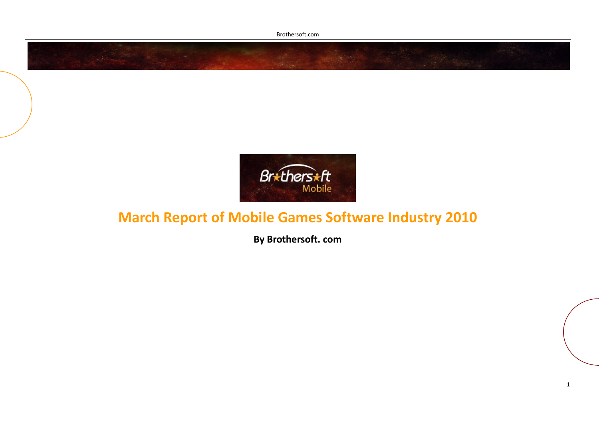Brothersoft.com



## **March Report of Mobile Games Software Industry 2010**

**By Brothersoft. com**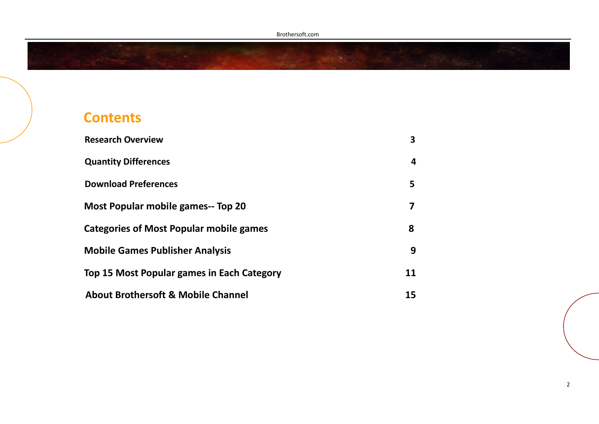## **Contents**

| <b>Research Overview</b>                       | 3  |
|------------------------------------------------|----|
| <b>Quantity Differences</b>                    | 4  |
| <b>Download Preferences</b>                    | 5  |
| <b>Most Popular mobile games-- Top 20</b>      | 7  |
| <b>Categories of Most Popular mobile games</b> | 8  |
| <b>Mobile Games Publisher Analysis</b>         | 9  |
| Top 15 Most Popular games in Each Category     | 11 |
| <b>About Brothersoft &amp; Mobile Channel</b>  | 15 |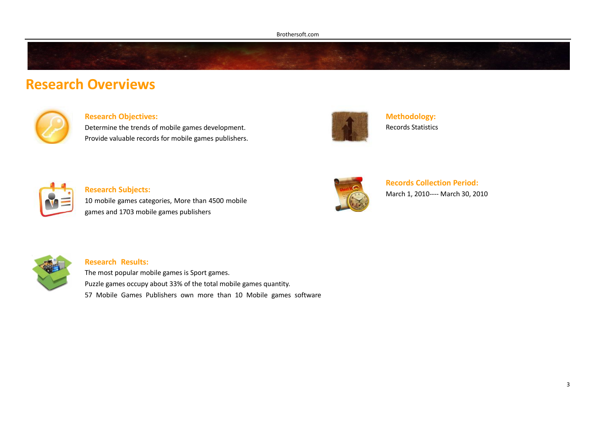## **Research Overviews**



### **Research Objectives:**

Determine the trends of mobile games development. Provide valuable records for mobile games publishers.



**Methodology:** Records Statistics



### **Research Subjects:**

10 mobile games categories, More than 4500 mobile games and 1703 mobile games publishers



**Records Collection Period:** March 1, 2010---- March 30, 2010



#### **Research Results:**

The most popular mobile games is Sport games. Puzzle games occupy about 33% of the total mobile games quantity. 57 Mobile Games Publishers own more than 10 Mobile games software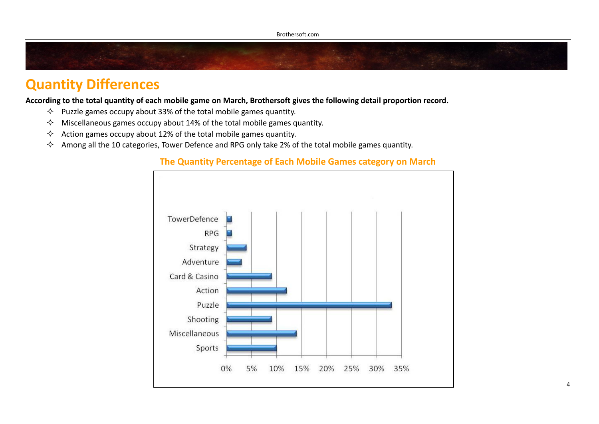## **Quantity Differences**

**According to the total quantity of each mobile game on March, Brothersoft gives the following detail proportion record.**

- $\Diamond$  Puzzle games occupy about 33% of the total mobile games quantity.
- $\Diamond$  Miscellaneous games occupy about 14% of the total mobile games quantity.
- $\Diamond$  Action games occupy about 12% of the total mobile games quantity.
- $\Diamond$  Among all the 10 categories, Tower Defence and RPG only take 2% of the total mobile games quantity.



### **The Quantity Percentage of Each Mobile Games category on March**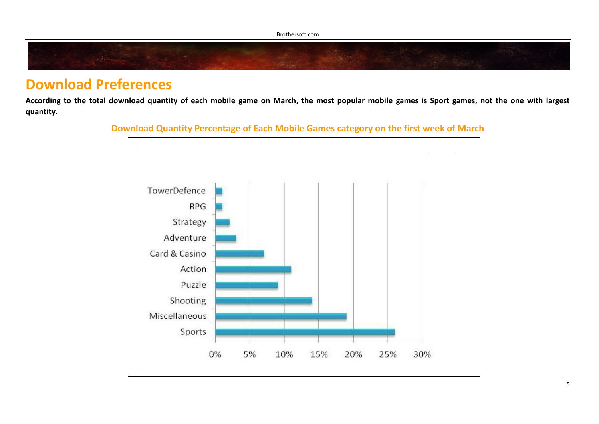## **Download Preferences**

**According to the total download quantity of each mobile game on March, the most popular mobile games is Sport games, not the one with largest quantity.** 



### **Download Quantity Percentage of Each Mobile Games category on the first week of March**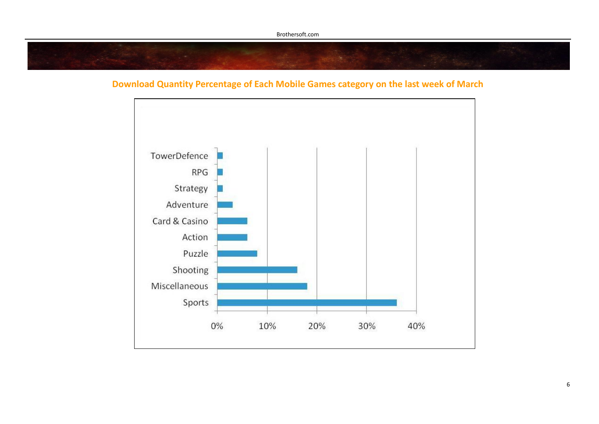### **Download Quantity Percentage of Each Mobile Games category on the last week of March**

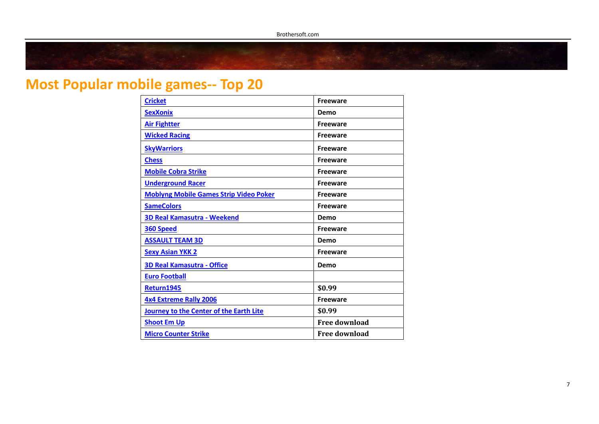# **Most Popular mobile games-- Top 20**

| <b>Cricket</b>                                | <b>Freeware</b>      |
|-----------------------------------------------|----------------------|
| <b>SexXonix</b>                               | Demo                 |
| <b>Air Fightter</b>                           | <b>Freeware</b>      |
| <b>Wicked Racing</b>                          | <b>Freeware</b>      |
| <b>Sky Warriors</b>                           | <b>Freeware</b>      |
| <b>Chess</b>                                  | <b>Freeware</b>      |
| <b>Mobile Cobra Strike</b>                    | <b>Freeware</b>      |
| <b>Underground Racer</b>                      | <b>Freeware</b>      |
| <b>Moblyng Mobile Games Strip Video Poker</b> | <b>Freeware</b>      |
| <b>SameColors</b>                             | <b>Freeware</b>      |
| 3D Real Kamasutra - Weekend                   | Demo                 |
| <b>360 Speed</b>                              | <b>Freeware</b>      |
| <b>ASSAULT TEAM 3D</b>                        | Demo                 |
| <b>Sexy Asian YKK 2</b>                       | <b>Freeware</b>      |
| <b>3D Real Kamasutra - Office</b>             | Demo                 |
| <b>Euro Football</b>                          |                      |
| <b>Return1945</b>                             | \$0.99               |
| <b>4x4 Extreme Rally 2006</b>                 | <b>Freeware</b>      |
| Journey to the Center of the Earth Lite       | \$0.99               |
| <b>Shoot Em Up</b>                            | <b>Free download</b> |
| <b>Micro Counter Strike</b>                   | <b>Free download</b> |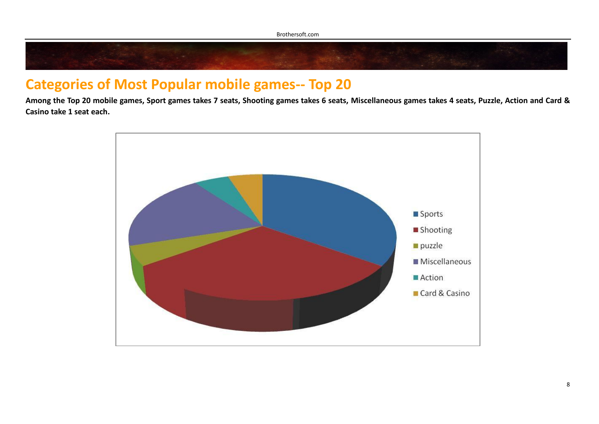## **Categories of Most Popular mobile games-- Top 20**

**Among the Top 20 mobile games, Sport games takes 7 seats, Shooting games takes 6 seats, Miscellaneous games takes 4 seats, Puzzle, Action and Card & Casino take 1 seat each.**

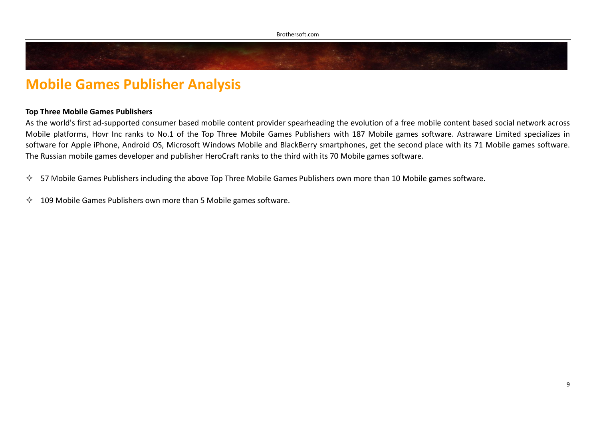## **Mobile Games Publisher Analysis**

### **Top Three Mobile Games Publishers**

As the world's first ad-supported consumer based mobile content provider spearheading the evolution of a free mobile content based social network across Mobile platforms, Hovr Inc ranks to No.1 of the Top Three Mobile Games Publishers with 187 Mobile games software. Astraware Limited specializes in software for Apple iPhone, Android OS, Microsoft Windows Mobile and BlackBerry smartphones, get the second place with its 71 Mobile games software. The Russian mobile games developer and publisher HeroCraft ranks to the third with its 70 Mobile games software.

 $\div$  57 Mobile Games Publishers including the above Top Three Mobile Games Publishers own more than 10 Mobile games software.

 $\lozenge$  109 Mobile Games Publishers own more than 5 Mobile games software.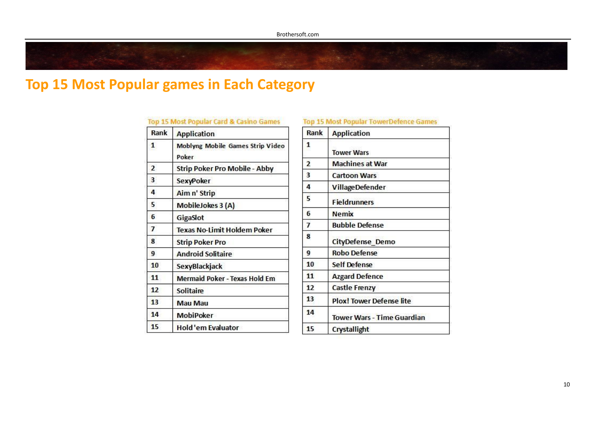#### Top 15 Most Popular Card & Casino Games

| Rank           | <b>Application</b>                        |  |
|----------------|-------------------------------------------|--|
| $\mathbf{1}$   | Moblyng Mobile Games Strip Video<br>Poker |  |
| $\overline{2}$ | Strip Poker Pro Mobile - Abby             |  |
| 3              | SexyPoker                                 |  |
| 4              | Aim n' Strip                              |  |
| 5              | MobileJokes 3 (A)                         |  |
| 6              | GigaSlot                                  |  |
| 7              | <b>Texas No-Limit Holdem Poker</b>        |  |
| 8              | <b>Strip Poker Pro</b>                    |  |
| 9              | <b>Android Solitaire</b>                  |  |
| 10             | SexyBlackjack                             |  |
| 11             | <b>Mermaid Poker - Texas Hold Em</b>      |  |
| 12             | <b>Solitaire</b>                          |  |
| 13             | <b>Mau Mau</b>                            |  |
| 14             | MobiPoker                                 |  |
| 15             | Hold'em Evaluator                         |  |

#### **Top 15 Most Popular TowerDefence Games**

| Rank           | <b>Application</b>                |
|----------------|-----------------------------------|
| 1              | <b>Tower Wars</b>                 |
| $\overline{2}$ | <b>Machines at War</b>            |
| 3              | <b>Cartoon Wars</b>               |
| 4              | <b>VillageDefender</b>            |
| 5              | <b>Fieldrunners</b>               |
| 6              | <b>Nemix</b>                      |
| $\overline{1}$ | <b>Bubble Defense</b>             |
| 8              | <b>CityDefense Demo</b>           |
| 9              | <b>Robo Defense</b>               |
| 10             | <b>Self Defense</b>               |
| 11             | <b>Azgard Defence</b>             |
| 12             | <b>Castle Frenzy</b>              |
| 13             | <b>Plox! Tower Defense lite</b>   |
| 14             | <b>Tower Wars - Time Guardian</b> |
| 15             | Crystallight                      |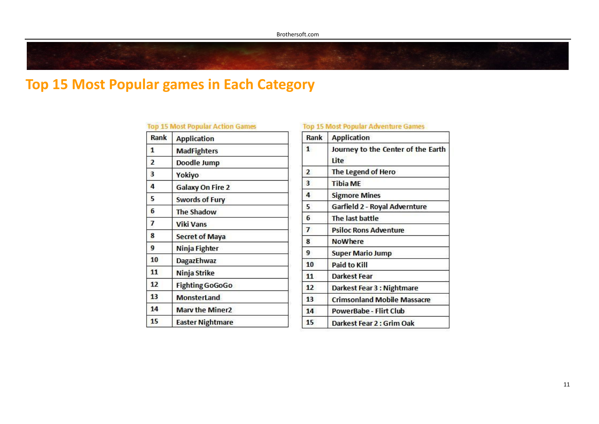### **Top 15 Most Popular Action Games**

| Rank           | <b>Application</b>      |
|----------------|-------------------------|
| 1              | <b>MadFighters</b>      |
| $\overline{2}$ | Doodle Jump             |
| 3              | Yokiyo                  |
| 4              | <b>Galaxy On Fire 2</b> |
| 5              | <b>Swords of Fury</b>   |
| 6              | <b>The Shadow</b>       |
| 7              | <b>Viki Vans</b>        |
| 8              | <b>Secret of Maya</b>   |
| 9              | Ninja Fighter           |
| 10             | DagazEhwaz              |
| 11             | Ninja Strike            |
| 12             | <b>Fighting GoGoGo</b>  |
| 13             | <b>MonsterLand</b>      |
| 14             | <b>Mary the Miner2</b>  |
| 15             | <b>Easter Nightmare</b> |

### **Top 15 Most Popular Adventure Games**

| Rank           | <b>Application</b>                         |  |  |
|----------------|--------------------------------------------|--|--|
| $\mathbf{1}$   | Journey to the Center of the Earth<br>Lite |  |  |
| 2              | The Legend of Hero                         |  |  |
| 3              | <b>Tibia ME</b>                            |  |  |
| 4              | <b>Sigmore Mines</b>                       |  |  |
| 5              | Garfield 2 - Royal Advernture              |  |  |
| 6              | The last battle                            |  |  |
| $\overline{1}$ | <b>Psiloc Rons Adventure</b>               |  |  |
| 8              | <b>NoWhere</b>                             |  |  |
| 9              | <b>Super Mario Jump</b>                    |  |  |
| 10             | Paid to Kill                               |  |  |
| 11             | <b>Darkest Fear</b>                        |  |  |
| 12             | Darkest Fear 3 : Nightmare                 |  |  |
| 13             | <b>Crimsonland Mobile Massacre</b>         |  |  |
| 14             | PowerBabe - Flirt Club                     |  |  |
| 15             | Darkest Fear 2 : Grim Oak                  |  |  |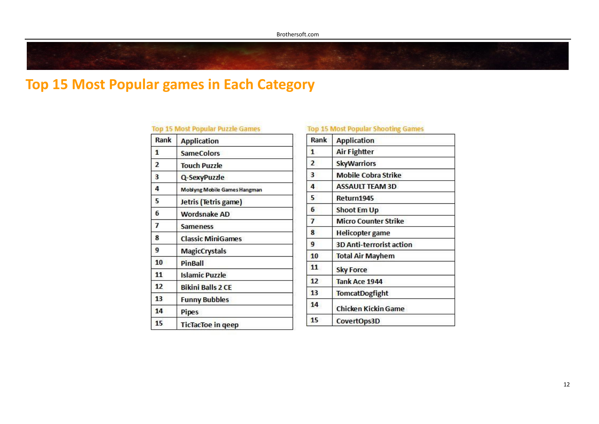### **Top 15 Most Popular Puzzle Games**

| Rank           | <b>Application</b>                  |
|----------------|-------------------------------------|
| $\mathbf{1}$   | <b>SameColors</b>                   |
| $\overline{2}$ | <b>Touch Puzzle</b>                 |
| 3              | Q-SexyPuzzle                        |
| 4              | <b>Moblyng Mobile Games Hangman</b> |
| 5              | Jetris (Tetris game)                |
| 6              | <b>Wordsnake AD</b>                 |
| 7              | <b>Sameness</b>                     |
| 8              | <b>Classic MiniGames</b>            |
| 9              | <b>MagicCrystals</b>                |
| 10             | PinBall                             |
| 11             | <b>Islamic Puzzle</b>               |
| 12             | <b>Bikini Balls 2 CE</b>            |
| 13             | <b>Funny Bubbles</b>                |
| 14             | <b>Pipes</b>                        |
| 15             | <b>TicTacToe in geep</b>            |

### **Top 15 Most Popular Shooting Games**

| Rank             | <b>Application</b>              |
|------------------|---------------------------------|
| $\mathbf{1}$     | <b>Air Fightter</b>             |
| $\overline{2}$   | <b>SkyWarriors</b>              |
| з                | <b>Mobile Cobra Strike</b>      |
| 4                | <b>ASSAULT TEAM 3D</b>          |
| 5                | Return1945                      |
| 6                | Shoot Em Up                     |
| 7                | <b>Micro Counter Strike</b>     |
| 8                | <b>Helicopter game</b>          |
| 9                | <b>3D Anti-terrorist action</b> |
| 10               | <b>Total Air Mayhem</b>         |
| 11               | <b>Sky Force</b>                |
| 12 <sup>12</sup> | Tank Ace 1944                   |
| 13               | <b>TomcatDogfight</b>           |
| 14               | Chicken Kickin Game             |
| 15               | CovertOps3D                     |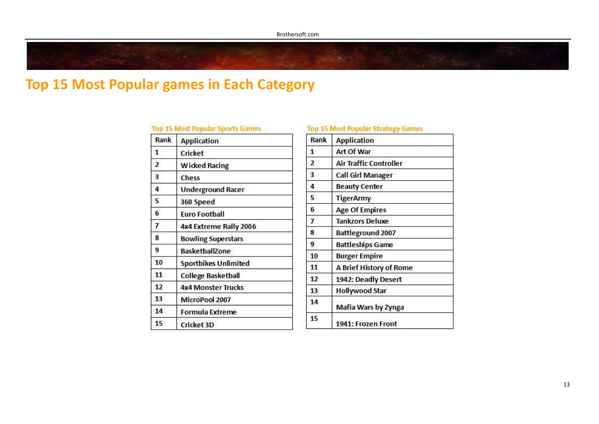### **Top 15 Most Popular Sports Games**

| Rank           | <b>Application</b>          |
|----------------|-----------------------------|
| 1              | Cricket                     |
| $\overline{2}$ | <b>Wicked Racing</b>        |
| 3              | Chess                       |
| 4              | <b>Underground Racer</b>    |
| 5              | 360 Speed                   |
| 6              | <b>Furo Football</b>        |
| $\overline{ }$ | 4x4 Extreme Rally 2006      |
| 8              | <b>Bowling Superstars</b>   |
| 9              | <b>BasketballZone</b>       |
| 10             | <b>Sportbikes Unlimited</b> |
| 11             | <b>College Basketball</b>   |
| 12             | <b>4x4 Monster Trucks</b>   |
| 13             | MicroPool 2007              |
| 14             | <b>Formula Extreme</b>      |
| 15             | <b>Cricket 3D</b>           |

### **Top 15 Most Popular Strategy Games**

| Rank           | <b>Application</b>            |  |
|----------------|-------------------------------|--|
| $\mathbf{1}$   | <b>Art Of War</b>             |  |
| $\overline{2}$ | <b>Air Traffic Controller</b> |  |
| 3              | <b>Call Girl Manager</b>      |  |
| 4              | <b>Beauty Center</b>          |  |
| 5              | <b>TigerArmy</b>              |  |
| 6              | <b>Age Of Empires</b>         |  |
| $\overline{1}$ | <b>Tankzors Deluxe</b>        |  |
| 8              | <b>Battleground 2007</b>      |  |
| 9              | <b>Battleships Game</b>       |  |
| 10             | <b>Burger Empire</b>          |  |
| 11             | A Brief History of Rome       |  |
| 12             | 1942: Deadly Desert           |  |
| 13             | <b>Hollywood Star</b>         |  |
| 14             | Mafia Wars by Zynga           |  |
| 15             | 1941: Frozen Front            |  |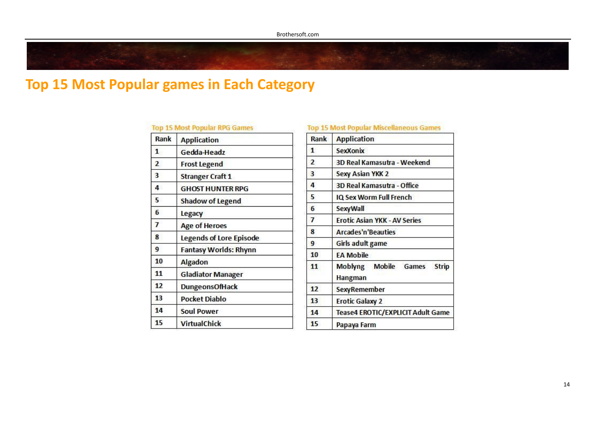| Rank           | <b>Application</b>             |
|----------------|--------------------------------|
| $\mathbf{1}$   | Gedda-Headz                    |
| $\overline{2}$ | <b>Frost Legend</b>            |
| 3              | <b>Stranger Craft 1</b>        |
| 4              | <b>GHOST HUNTER RPG</b>        |
| 5              | <b>Shadow of Legend</b>        |
| 6              | Legacy                         |
| $\overline{1}$ | <b>Age of Heroes</b>           |
| 8              | <b>Legends of Lore Episode</b> |
| 9              | <b>Fantasy Worlds: Rhynn</b>   |
| 10             | <b>Algadon</b>                 |
| 11             | <b>Gladiator Manager</b>       |
| 12             | <b>DungeonsOfHack</b>          |
| 13             | <b>Pocket Diablo</b>           |
| 14             | <b>Soul Power</b>              |
| 15             | <b>VirtualChick</b>            |

#### **Top 15 Most Popular Miscellaneous Games** Rank **Application**  $\mathbf{1}$ **SexXonix**  $\overline{2}$ 3D Real Kamasutra - Weekend  $\overline{\mathbf{3}}$ **Sexy Asian YKK 2**  $\overline{4}$ 3D Real Kamasutra - Office 5 IQ Sex Worm Full French SexyWall 6 **Erotic Asian YKK - AV Series**  $\overline{7}$  $\bf{8}$ **Arcades'n'Beauties** 9 **Girls adult game** 10 **EA Mobile Moblyng Mobile Games Strip**  $11$ **Hangman**  $12$ **SexyRemember**  $13$ **Erotic Galaxy 2 Tease4 EROTIC/EXPLICIT Adult Game** 14 15 Papaya Farm